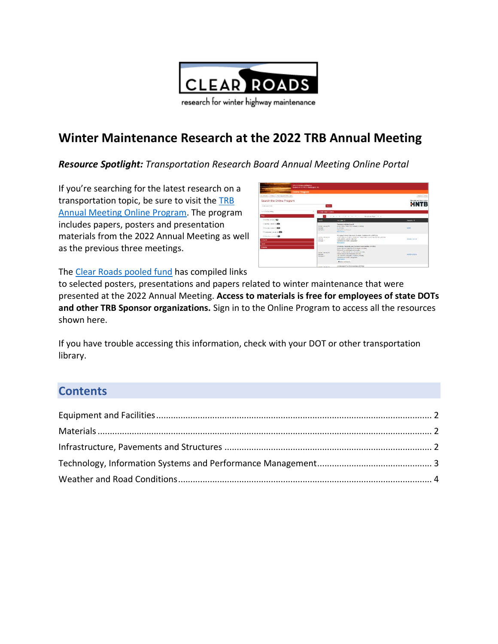

# **Winter Maintenance Research at the 2022 TRB Annual Meeting**

*Resource Spotlight: Transportation Research Board Annual Meeting Online Portal*

If you're searching for the latest research on a transportation topic, be sure to visit the [TRB](https://annualmeeting.mytrb.org/OnlineProgram/Browse)  [Annual Meeting Online Program.](https://annualmeeting.mytrb.org/OnlineProgram/Browse) The program includes papers, posters and presentation materials from the 2022 Annual Meeting as well as the previous three meetings.

| ī                                                                               | <b>1974 IFER PERIOD MINUTES</b><br>James 6-11.2022 Wednesday, DC |                     |                                                                                                                                                                                                                                                                                                                     |                                                               |
|---------------------------------------------------------------------------------|------------------------------------------------------------------|---------------------|---------------------------------------------------------------------------------------------------------------------------------------------------------------------------------------------------------------------------------------------------------------------------------------------------------------------|---------------------------------------------------------------|
|                                                                                 | <b>Online Program</b>                                            |                     |                                                                                                                                                                                                                                                                                                                     |                                                               |
| 411 Malkett Creeks   LMatters additional be-                                    |                                                                  |                     |                                                                                                                                                                                                                                                                                                                     | Anne (Ma)                                                     |
| Search the Online Program                                                       |                                                                  |                     |                                                                                                                                                                                                                                                                                                                     | <b>The series from Taxable Age 61an</b>                       |
| Continues him                                                                   |                                                                  | <b>Statistic</b>    |                                                                                                                                                                                                                                                                                                                     | HNTB                                                          |
| <b><i>ROSYVANDAMES</i></b>                                                      | c                                                                | Ciried Seart Others |                                                                                                                                                                                                                                                                                                                     |                                                               |
| <b>TWA</b>                                                                      |                                                                  |                     | the second communication of the second communication of                                                                                                                                                                                                                                                             |                                                               |
| Disease Anancie CD                                                              | $n - 1$                                                          |                     | <b>Walker</b>                                                                                                                                                                                                                                                                                                       | <b>ISSNAME</b>                                                |
| <b>Department of Co.</b><br><b>UTASAN ARAN HOLD</b><br>Diverselse, angel 11 629 | ficers, because<br>10.04<br><b>Kilder</b>                        |                     | <b>Curtasing Systems Council</b><br>Aux-Street Publisher Consensuality<br><b>COSM</b><br>feature of a liter book<br><b><i><u>Institution</u></i></b>                                                                                                                                                                | ACEX                                                          |
| Litteral course to the<br><b>TERMIN</b><br><b>TOM</b>                           | <b>COSTAL CRYSTIC RD</b><br>P-87 class<br><b>SOFAKT</b>          |                     | Mangraphone sy figurateur diviergit. Rosesso dan Juhittade<br>INVESTIGATION IN REPORT FOR THE GENERAL ENTERTAINMENT PARTIES.<br><b>A SENIOR SHARP SERVICE</b><br>Complete and Soft Lyncomer-<br>Non-Law In                                                                                                          | <b>A warm of the State State</b><br><b>REFRA A WILLY</b><br>. |
| <b>Finance</b>                                                                  | Santon Satura (M)<br>3.00 484<br><b>SID GALID</b>                |                     | Emdeny, Stevens, and Engineer Education ACPENTI<br>Guyo Basis Part Portol High purals<br>Hang H.A. LEWISCO, LANGIL<br>April (a West Andrew All add partike)<br>When the most is the state of the most of party three.<br>CROSSOON INSINHO PANOL PANIES<br>Communication companies<br>New Lewis<br><b>Biencommon</b> | <b>KAPEEACPIVAL</b><br><b>DESCOULD</b>                        |
|                                                                                 | Level Street, &                                                  |                     | Uniterrated Tox Schonerster, ASTACO                                                                                                                                                                                                                                                                                 |                                                               |

The [Clear Roads pooled fund](https://clearroads.org/) has compiled links

to selected posters, presentations and papers related to winter maintenance that were presented at the 2022 Annual Meeting. **Access to materials is free for employees of state DOTs and other TRB Sponsor organizations.** Sign in to the Online Program to access all the resources shown here.

If you have trouble accessing this information, check with your DOT or other transportation library.

## **Contents**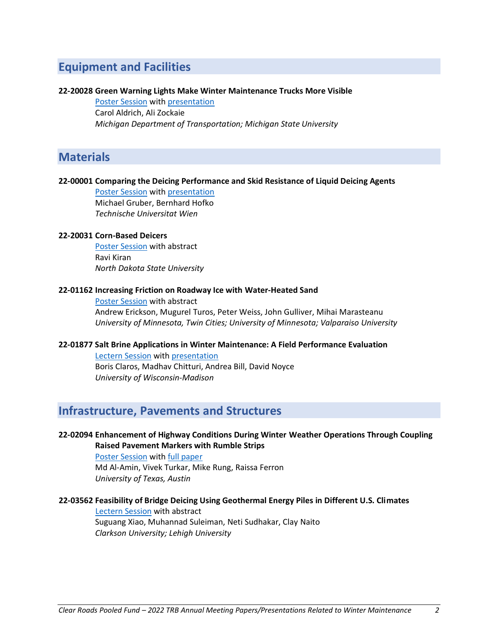## <span id="page-1-0"></span>**Equipment and Facilities**

#### **22-20028 Green Warning Lights Make Winter Maintenance Trucks More Visible**

[Poster Session](https://annualmeeting.mytrb.org/OnlineProgram/Details/17144) with [presentation](https://annualmeeting.mytrb.org/FileUpload/Download?fileName=TRBWS07.trb.org%5cFileUploads%5c2022+AM+Presentations%5c17144%5cPresenter-89866%5c17144_P22-20028_2022-01-16-13-21-35.pdf) Carol Aldrich, Ali Zockaie *Michigan Department of Transportation; Michigan State University*

### <span id="page-1-1"></span>**Materials**

#### **22-00001 Comparing the Deicing Performance and Skid Resistance of Liquid Deicing Agents**

[Poster Session](https://annualmeeting.mytrb.org/OnlineProgram/Details/17478) with [presentation](https://annualmeeting.mytrb.org/FileUpload/Download?fileName=TRBWS07.trb.org%5cFileUploads%5c2022+AM+Presentations%5c17478%5cPresenter-93480%5c17478_TRBAM-22-00001_2022-01-15-23-20-30.pdf) Michael Gruber, Bernhard Hofko *Technische Universitat Wien*

#### **22-20031 Corn-Based Deicers**

[Poster Session](https://annualmeeting.mytrb.org/OnlineProgram/Details/17136) with abstract Ravi Kiran *North Dakota State University*

#### **22-01162 Increasing Friction on Roadway Ice with Water-Heated Sand**

[Poster Session](https://annualmeeting.mytrb.org/OnlineProgram/Details/17478) with abstract Andrew Erickson, Mugurel Turos, Peter Weiss, John Gulliver, Mihai Marasteanu *University of Minnesota, Twin Cities; University of Minnesota; Valparaiso University*

#### **22-01877 Salt Brine Applications in Winter Maintenance: A Field Performance Evaluation**

[Lectern Session](https://annualmeeting.mytrb.org/OnlineProgram/Details/17477) with [presentation](https://annualmeeting.mytrb.org/FileUpload/Download?fileName=TRBWS07.trb.org%5cFileUploads%5c2022+AM+Presentations%5c17477%5cPresenter-93518%5c17477_TRBAM-22-01877_2022-01-15-23-23-10.pdf) Boris Claros, Madhav Chitturi, Andrea Bill, David Noyce *University of Wisconsin-Madison*

### <span id="page-1-2"></span>**Infrastructure, Pavements and Structures**

#### **22-02094 Enhancement of Highway Conditions During Winter Weather Operations Through Coupling Raised Pavement Markers with Rumble Strips**

[Poster Session](https://annualmeeting.mytrb.org/OnlineProgram/Details/17531) with [full paper](https://annualmeeting.mytrb.org/FileUpload/Index?conferenceID=10&fileName=TRBAM-22-02094_IN_CP02_01072022025414.pdf&fromOnlineProgram=true) Md Al-Amin, Vivek Turkar, Mike Rung, Raissa Ferron *University of Texas, Austin*

#### **22-03562 Feasibility of Bridge Deicing Using Geothermal Energy Piles in Different U.S. Climates**

[Lectern Session](https://annualmeeting.mytrb.org/OnlineProgram/Details/17343) with abstract Suguang Xiao, Muhannad Suleiman, Neti Sudhakar, Clay Naito *Clarkson University; Lehigh University*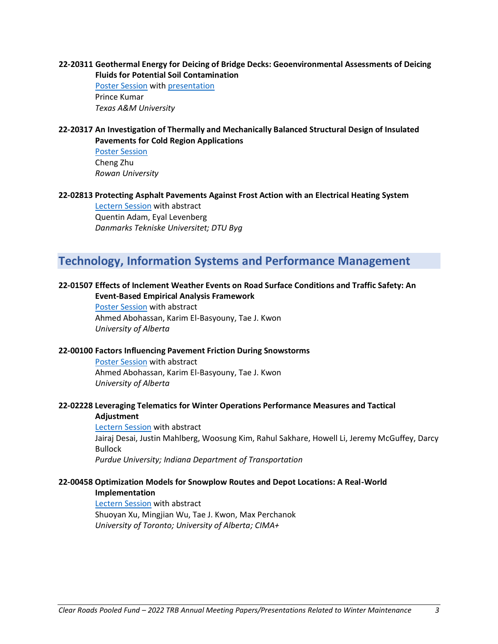#### **22-20311 Geothermal Energy for Deicing of Bridge Decks: Geoenvironmental Assessments of Deicing Fluids for Potential Soil Contamination**

[Poster Session](https://annualmeeting.mytrb.org/OnlineProgram/Details/17324) wit[h presentation](https://annualmeeting.mytrb.org/FileUpload/Download?fileName=TRBWS07.trb.org%5cFileUploads%5c2022+AM+Presentations%5c17324%5cPresenter-91491%5c17324_P22-20311_2022-01-16-05-59-10.pdf) Prince Kumar *Texas A&M University*

#### **22-20317 An Investigation of Thermally and Mechanically Balanced Structural Design of Insulated Pavements for Cold Region Applications**

[Poster Session](https://annualmeeting.mytrb.org/OnlineProgram/Details/17324) Cheng Zhu *Rowan University*

#### **22-02813 Protecting Asphalt Pavements Against Frost Action with an Electrical Heating System**

[Lectern](https://annualmeeting.mytrb.org/OnlineProgram/Details/17477) Session with abstract Quentin Adam, Eyal Levenberg *Danmarks Tekniske Universitet; DTU Byg*

### <span id="page-2-0"></span>**Technology, Information Systems and Performance Management**

#### **22-01507 Effects of Inclement Weather Events on Road Surface Conditions and Traffic Safety: An Event-Based Empirical Analysis Framework**

[Poster Session](https://annualmeeting.mytrb.org/OnlineProgram/Details/17590) with abstract

Ahmed Abohassan, Karim El-Basyouny, Tae J. Kwon *University of Alberta*

#### **22-00100 Factors Influencing Pavement Friction During Snowstorms**

[Poster Session](https://annualmeeting.mytrb.org/OnlineProgram/Details/17478) with abstract Ahmed Abohassan, Karim El-Basyouny, Tae J. Kwon *University of Alberta*

#### **22-02228 Leveraging Telematics for Winter Operations Performance Measures and Tactical Adjustment**

[Lectern Session](https://annualmeeting.mytrb.org/OnlineProgram/Details/17477) with abstract Jairaj Desai, Justin Mahlberg, Woosung Kim, Rahul Sakhare, Howell Li, Jeremy McGuffey, Darcy Bullock *Purdue University; Indiana Department of Transportation*

#### **22-00458 Optimization Models for Snowplow Routes and Depot Locations: A Real-World Implementation**

[Lectern Session](https://annualmeeting.mytrb.org/OnlineProgram/Details/17477) with abstract Shuoyan Xu, Mingjian Wu, Tae J. Kwon, Max Perchanok *University of Toronto; University of Alberta; CIMA+*